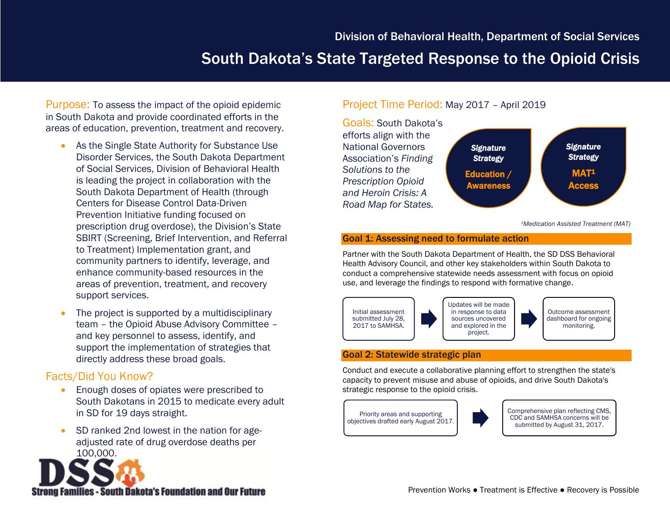# South Dakota's State Targeted Response to the Opioid Crisis

Purpose: To assess the impact of the opioid epidemic in South Dakota and provide coordinated efforts in the areas of education, prevention, treatment and recovery.

- As the Single State Authority for Substance Use Disorder Services, the South Dakota Department of Social Services, Division of Behavioral Health is leading the project in collaboration with the South Dakota Department of Health (through Centers for Disease Control Data-Driven Prevention Initiative funding focused on prescription drug overdose), the Division's State SBIRT (Screening, Brief Intervention, and Referral to Treatment) Implementation grant, and community partners to identify, leverage, and enhance community-based resources in the areas of prevention, treatment, and recovery support services.
- The project is supported by a multidisciplinary team – the Opioid Abuse Advisory Committee – and key personnel to assess, identify, and support the implementation of strategies that directly address these broad goals.

## Facts/Did You Know?

- **Enough doses of opiates were prescribed to** South Dakotans in 2015 to medicate every adult in SD for 19 days straight.
- SD ranked 2nd lowest in the nation for ageadjusted rate of drug overdose deaths per 100,000.



## Project Time Period: May 2017 – April 2019



*<sup>1</sup>Medication Assisted Treatment (MAT)*

#### Goal 1: Assessing need to formulate action

Partner with the South Dakota Department of Health, the SD DSS Behavioral Health Advisory Council, and other key stakeholders within South Dakota to conduct a comprehensive statewide needs assessment with focus on opioid use, and leverage the findings to respond with formative change.



### Goal 2: Statewide strategic plan

Conduct and execute a collaborative planning effort to strengthen the state's capacity to prevent misuse and abuse of opioids, and drive South Dakota's strategic response to the opioid crisis.





Comprehensive plan reflecting CMS, CDC and SAMHSA concerns will be submitted by August 31, 2017.